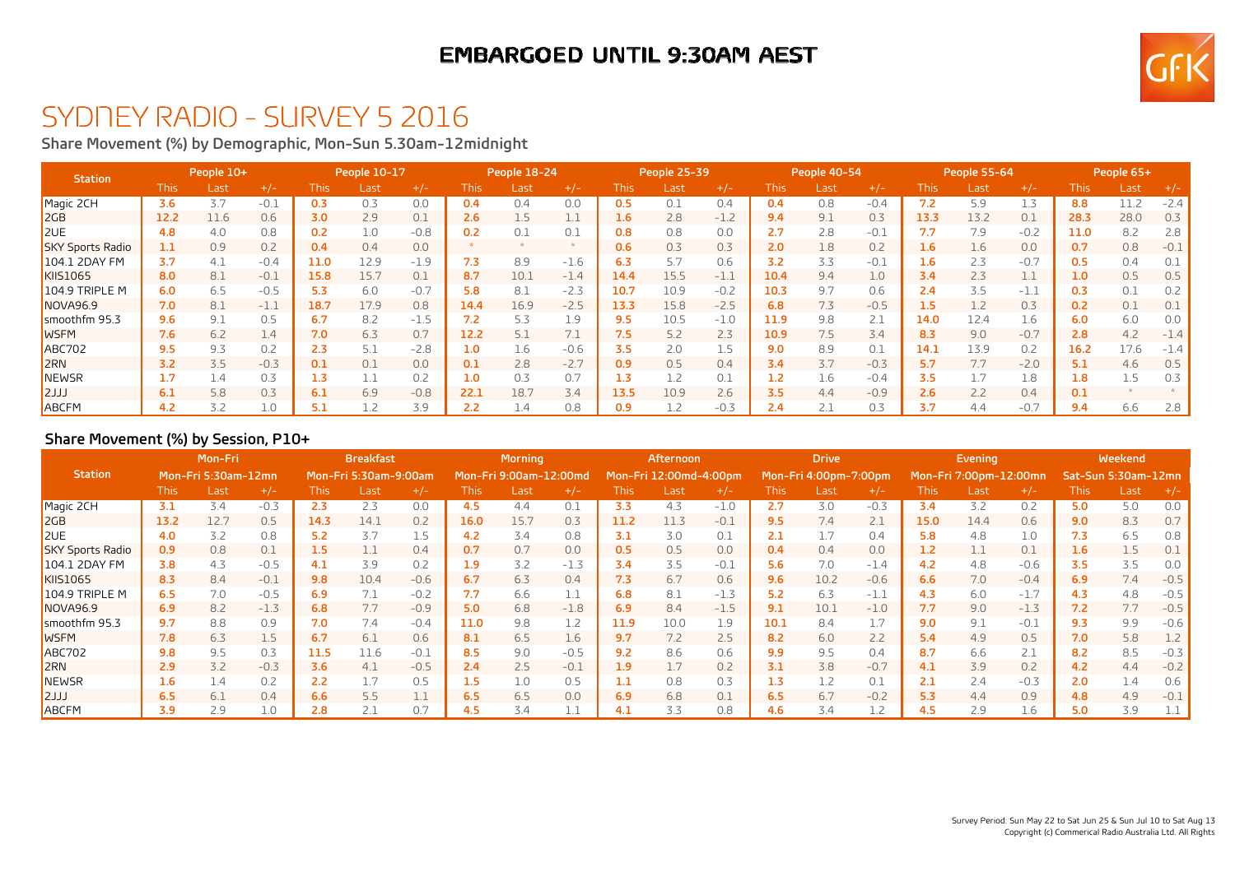## **EMBARGOED UNTIL 9:30AM AEST**



# SYDNEY RADIO - SURVEY 5 2016

**Share Movement (%) by Demographic, Mon-Sun 5.30am-12midnight**

| <b>Station</b>          |      | People 10+ |        |      | People 10-17 |        |       | People 18-24 |        |       | People 25-39 |        | People 40-54 |      |        | People 55-64 |      |        | People 65+  |      |        |
|-------------------------|------|------------|--------|------|--------------|--------|-------|--------------|--------|-------|--------------|--------|--------------|------|--------|--------------|------|--------|-------------|------|--------|
|                         | This | Last       | $+/-$  | This | Last         | $+/-$  | This. | Last         | $+/-$  | This. | Last         | $+/-$  | This         | Last | $+/-$  | This         | Last | $+/-$  | <b>This</b> | Last | $+/-$  |
| Magic 2CH               | 3.6  | 3.7        | $-0.1$ | 0.3  | 0.3          | 0.0    | 0.4   | 0.4          | 0.0    | 0.5   | 0.1          | 0.4    | 0.4          | 0.8  | $-0.4$ | 7.2          | 5.9  | 1.3    | 8.8         | 11.2 | $-2.4$ |
| 2GB                     | 12.2 | 11.6       | 0.6    | 3.0  | 2.9          | 0.1    | 2.6   | 1.5          | 1.1    | 1.6   | 2.8          | $-1.2$ | 9.4          | 9.1  | 0.3    | 13.3         | 13.2 | 0.1    | 28.3        | 28.0 | 0.3    |
| <b>2UE</b>              | 4.8  | 4.0        | 0.8    | 0.2  | 1.0          | $-0.8$ | 0.2   | 0.1          | 0.1    | 0.8   | 0.8          | 0.0    | 2.7          | 2.8  | $-0.1$ | 7.7          | 7.9  | $-0.2$ | 11.0        | 8.2  | 2.8    |
| <b>SKY Sports Radio</b> | 1.1  | 0.9        | 0.2    | 0.4  | 0.4          | 0.0    |       |              |        | 0.6   | 0.3          | 0.3    | 2.0          | 1.8  | 0.2    | 1.6          | 1.6  | 0.0    | 0.7         | 0.8  | $-0.1$ |
| 104.1 2DAY FM           | 3.7  | 4.1        | $-0.4$ | 11.0 | 12.9         | $-1.9$ | 7.3   | 8.9          | $-1.6$ | 6.3   | 5.7          | 0.6    | 3.2          | 3.3  | $-0.1$ | 1.6          | 2.3  | $-0.7$ | 0.5         | 0.4  |        |
| <b>KIIS1065</b>         | 8.0  | 8.1        | $-0.1$ | 15.8 | 15.7         | 0.1    | 8.7   | 10.1         | $-1.4$ | 14.4  | 15.5         | $-1.1$ | 10.4         | 9.4  | 1.0    | 3.4          | 2.3  | 1.1    | 1.0         | 0.5  | 0.5    |
| 104.9 TRIPLE M          | 6.0  | 6.5        | $-0.5$ | 5.3  | 6.0          | $-0.7$ | 5.8   | 8.1          | $-2.3$ | 10.7  | 10.9         | $-0.2$ | 10.3         | 9.7  | 0.6    | 2.4          | 3.5  | $-1.1$ | 0.3         | 0.1  | 0.2    |
| NOVA96.9                | 7.0  | 8.1        | $-1.1$ | 18.7 | 17.9         | 0.8    | 14.4  | 16.9         | $-2.5$ | 13.3  | 15.8         | $-2.5$ | 6.8          | 7.3  | $-0.5$ | 1.5          |      | 0.3    | 0.2         | 0.1  | 0.1    |
| smoothfm 95.3           | 9.6  | 9.1        | 0.5    | 6.7  | 8.2          | $-1.5$ | 7.2   | 5.3          | 1.9    | 9.5   | 10.5         | $-1.0$ | 11.9         | 9.8  | 2.1    | 14.0         | 12.4 | 1.6    | 6.0         | 6.0  | 0.0    |
| <b>WSFM</b>             | 7.6  | 6.2        | 1.4    | 7.0  | 6.3          | 0.7    | 12.2  | 5.1          | 7.1    | 7.5   | 5.2          | 2.3    | 10.9         | 7.5  | 3.4    | 8.3          | 9.0  | $-0.7$ | 2.8         | 4.2  | $-1.4$ |
| <b>ABC702</b>           | 9.5  | 9.3        | 0.2    | 2.3  | 5.1          | $-2.8$ | 1.0   | 1.6          | $-0.6$ | 3.5   | 2.0          | 1.5    | 9.0          | 8.9  | 0.1    | 14.1         | 13.9 | 0.2    | 16.2        | 17.6 | $-1.4$ |
| <b>ZRN</b>              | 3.2  | 3.5        | $-0.3$ | 0.1  | 0.1          | 0.0    | 0.1   | 2.8          | $-2.7$ | 0.9   | 0.5          | 0.4    | 3.4          | 3.7  | $-0.3$ | 5.7          |      | $-2.0$ | 5.1         | 4.6  | 0.5    |
| <b>NEWSR</b>            | 1.7  | 1.4        | 0.3    | 1.3  |              | 0.2    | 1.0   | 0.3          | 0.7    | 1.3   | 1.2          | 0.1    | 1.2          | ⊥.6  | $-0.4$ | 3.5          |      | 1.8    | 1.8         | 1.5  | 0.3    |
| <b>LLLS</b>             | 6.1  | 5.8        | 0.3    | 6.1  | 6.9          | $-0.8$ | 22.1  | 18.7         | 3.4    | 13.5  | 10.9         | 2.6    | 3.5          | 4.4  | $-0.9$ | 2.6          | 2.2  | 0.4    | 0.1         |      |        |
| <b>ABCFM</b>            | 4.2  | 3.2        | 1.0    | 5.1  |              | 3.9    | 2.2   | 1.4          | 0.8    | 0.9   |              | $-0.3$ | 2.4          |      | 0.3    | 3.7          | 4.4  | $-0.7$ | 9.4         | 6.6  | 2.8    |

#### **Share Movement (%) by Session, P10+**

|                         |       | Mon-Fri             |        |                       | <b>Breakfast</b> |        |                        | <b>Morning</b> |        |                        | <b>Afternoon</b> |        | <b>Drive</b>          |      |        | Evening                |      |                     | Weekend     |      |               |
|-------------------------|-------|---------------------|--------|-----------------------|------------------|--------|------------------------|----------------|--------|------------------------|------------------|--------|-----------------------|------|--------|------------------------|------|---------------------|-------------|------|---------------|
| <b>Station</b>          |       | Mon-Fri 5:30am-12mn |        | Mon-Fri 5:30am-9:00am |                  |        | Mon-Fri 9:00am-12:00md |                |        | Mon-Fri 12:00md-4:00pm |                  |        | Mon-Fri 4:00pm-7:00pm |      |        | Mon-Fri 7:00pm-12:00mn |      | Sat-Sun 5:30am-12mn |             |      |               |
|                         | This. | Last                | $+/-$  | <b>This</b>           | Last             | $+/-$  | <b>This</b>            | Last           | $+/-$  | <b>This</b>            | Last             | $+/-$  | <b>This</b>           | Last | $+/-$  | <b>This</b>            | Last | $+/-$               | <b>This</b> | Last | $+/-$         |
| Magic 2CH               | 3.1   | 3.4                 | $-0.3$ | 2.3                   | 2.3              | 0.0    | 4.5                    | 4.4            | 0.1    | 3.3                    | 4.3              | $-1.0$ | 2.7                   | 3.0  | $-0.3$ | 3.4                    | 3.2  | 0.2                 | 5.0         | 5.0  | 0.0           |
| 2GB                     | 13.2  | 12.7                | 0.5    | 14.3                  | 14.1             | 0.2    | 16.0                   | 15.7           | 0.3    | 11.2                   | 11.3             | $-0.1$ | 9.5                   | 7.4  | 2.1    | 15.0                   | 14.4 | 0.6                 | 9.0         | 8.3  | 0.7           |
| 2UE                     | 4.0   | 3.2                 | 0.8    | 5.2                   | 3.7              | 1.5    | 4.2                    | 3.4            | 0.8    | 3.1                    | 3.0              | 0.1    | 2.1                   |      | 0.4    | 5.8                    | 4.8  | 1.0                 | 7.3         | 6.5  | 0.8           |
| <b>SKY Sports Radio</b> | 0.9   | 0.8                 | 0.1    | 1.5                   | 1.1              | 0.4    | 0.7                    | 0.7            | 0.0    | 0.5                    | 0.5              | 0.0    | 0.4                   | 0.4  | 0.0    | 1.2                    |      | 0.1                 | 1.6         | 1.5  | 0.1           |
| 104.1 2DAY FM           | 3.8   | 4.3                 | $-0.5$ | 4.1                   | 3.9              | 0.2    | 1.9                    | 3.2            | $-1.3$ | 3.4                    | 3.5              | $-0.1$ | 5.6                   | 7.0  | $-1.4$ | 4.2                    | 4.8  | $-0.6$              | 3.5         | 3.5  | 0.0           |
| <b>KIIS1065</b>         | 8.3   | 8.4                 | $-0.1$ | 9.8                   | 10.4             | $-0.6$ | 6.7                    | 6.3            | 0.4    | 7.3                    | 6.7              | 0.6    | 9.6                   | 10.2 | $-0.6$ | 6.6                    | 7.0  | $-0.4$              | 6.9         | 7.4  | $-0.5$        |
| 104.9 TRIPLE M          | 6.5   | 7.0                 | $-0.5$ | 6.9                   |                  | $-0.2$ | 7.7                    | 6.6            | 1.1    | 6.8                    | 8.1              | $-1.3$ | 5.2                   | 6.3  | $-1.1$ | 4.3                    | 6.0  | $-1.7$              | 4.3         | 4.8  | $-0.5$        |
| NOVA96.9                | 6.9   | 8.2                 | $-1.3$ | 6.8                   | 7.7              | $-0.9$ | 5.0                    | 6.8            | $-1.8$ | 6.9                    | 8.4              | $-1.5$ | 9.1                   | 10.1 | $-1.0$ | 7.7                    | 9.0  | $-1.3$              | 7.2         | 7.7  | $-0.5$        |
| smoothfm 95.3           | 9.7   | 8.8                 | 0.9    | 7.0                   | 7.4              | $-0.4$ | 11.0                   | 9.8            | 1.2    | 11.9                   | 10.0             | 1.9    | 10.1                  | 8.4  | 1.7    | 9.0                    | 9.1  | $-0.1$              | 9.3         | 9.9  | $-0.6$        |
| <b>WSFM</b>             | 7.8   | 6.3                 | 1.5    | 6.7                   | 6.1              | 0.6    | 8.1                    | 6.5            | 1.6    | 9.7                    | 7.2              | 2.5    | 8.2                   | 6.0  | 2.2    | 5.4                    | 4.9  | 0.5                 | 7.0         | 5.8  | 1.2           |
| <b>ABC702</b>           | 9.8   | 9.5                 | 0.3    | 11.5                  | 11.6             | $-0.1$ | 8.5                    | 9.0            | $-0.5$ | 9.2                    | 8.6              | 0.6    | 9.9                   | 9.5  | 0.4    | 8.7                    | 6.6  | 2.1                 | 8.2         | 8.5  | $-0.3$        |
| 2RN                     | 2.9   | 3.2                 | $-0.3$ | 3.6                   | 4.1              | $-0.5$ | 2.4                    | 2.5            | $-0.1$ | 1.9                    | 1. /             | 0.2    | 3.1                   | 3.8  | $-0.7$ | 4.1                    | 3.9  | 0.2                 | 4.2         | 4.4  | $-0.2$        |
| <b>NEWSR</b>            | 1.6   | 1.4                 | 0.2    | 2.2                   |                  | 0.5    | 1.5                    | 1.0            | 0.5    |                        | 0.8              | 0.3    | 1.3                   | 1.2  | 0.1    | 2.1                    | 2.4  | $-0.3$              | 2.0         | 1.4  | 0.6           |
| LLLS                    | 6.5   | 6.1                 | 0.4    | 6.6                   | 5.5              | 1.1    | 6.5                    | 6.5            | 0.0    | 6.9                    | 6.8              | 0.1    | 6.5                   | 6.7  | $-0.2$ | 5.3                    | 4.4  | 0.9                 | 4.8         | 4.9  | $-0.1$        |
| <b>ABCFM</b>            | 3.9   | 2.9                 | 1.0    | 2.8                   | 2.1              | 0.7    | 4.5                    | 3.4            | ┸╶┚    | 4.1                    | 3.3              | 0.8    | 4.6                   | 3.4  | 1.2    | 4.5                    | 2.9  | 1.6                 | 5.0         | 3.9  | $\perp \perp$ |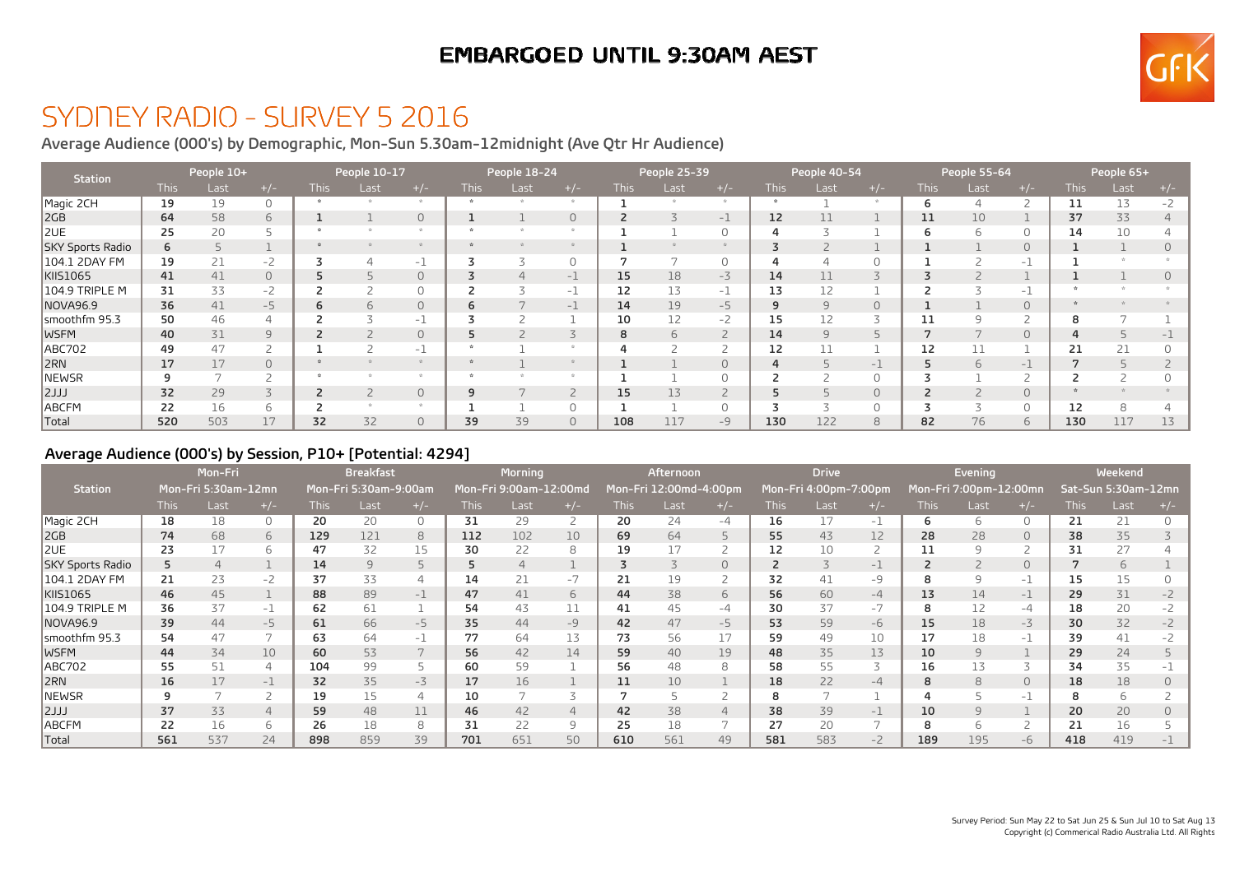## **EMBARGOED UNTIL 9:30AM AEST**



## SYDNEY RADIO - SURVEY 5 2016

**Average Audience (000's) by Demographic, Mon-Sun 5.30am-12midnight (Ave Qtr Hr Audience)**

| Station          |             | People 10+ |        | People 10-17 |      |          | People 18-24 |      |                | People 25-39 |      | People 40-54   |             |      | People 55-64 |             |      | People 65+               |             |      |      |
|------------------|-------------|------------|--------|--------------|------|----------|--------------|------|----------------|--------------|------|----------------|-------------|------|--------------|-------------|------|--------------------------|-------------|------|------|
|                  | <b>This</b> | Last       | $+/-$  | This         | Last | $+/-$    | <b>This</b>  | Last | $+/-$          | <b>This</b>  | Last | $+/-$          | <b>This</b> | Last | $+/-$        | <b>This</b> | Last | $+/-$                    | <b>This</b> | Last | +/-  |
| Magic 2CH        | 19          | 19         |        |              |      |          |              |      |                |              |      |                |             |      |              | b           |      | $\overline{\phantom{0}}$ | 11          | 13   | $-2$ |
| 2GB              | 64          | 58         | 6      |              |      | $\Omega$ |              |      | $\overline{0}$ |              |      | -1             | 12          |      |              | 11          | 10   |                          | 37          | 33   |      |
| 2UE              | 25          | 20         |        |              |      |          |              |      |                |              |      | $\Omega$       |             |      |              | b           | h    | $\Omega$                 | 14          | 10   |      |
| SKY Sports Radio | 6           |            |        |              |      |          |              |      |                |              |      |                |             |      |              |             |      | $\bigcap$                |             |      |      |
| 104.1 2DAY FM    | 19          | 21         | -2     |              |      | $-1$     |              |      | $\Omega$       |              |      | 0              |             |      | $\Omega$     |             |      | $-1$                     |             |      |      |
| KIIS1065         | 41          | 41         | 0      |              |      | $\Omega$ |              |      | - 1            | 15           | 18   | $-3$           | 14          |      |              |             |      |                          |             |      |      |
| 104.9 TRIPLE M   | 31          | 33         | -2     |              |      |          |              |      | -1             | 12           | 13   | $-1$           | 13          |      |              |             |      | - 1                      |             |      |      |
| NOVA96.9         | 36          | 41         | $-5$   | 6            |      | $\circ$  | ь            |      | $-1$           | 14           | 19   | $-5$           | q           |      | $\circ$      |             |      | $\Omega$                 |             |      |      |
| smoothfm 95.3    | 50          | 46         |        |              |      | $-1$     |              |      |                | 10           | 12   | $-2$           | 15          |      | 3            | 11          |      |                          |             |      |      |
| <b>WSFM</b>      | 40          | 31         | $\Box$ |              |      | $\Omega$ | ב            |      |                | 8            |      | $\overline{2}$ | 14          |      | 5            |             |      | $\Omega$                 |             |      |      |
| ABC702           | 49          | 47         |        |              |      | -1       |              |      |                |              |      | ے              | 12          |      |              | 12          |      |                          | 21          | 21   |      |
| 2RN              | 17          | 17         | 0      |              |      |          |              |      |                |              |      | $\circ$        |             |      | - 1          |             |      | -1                       |             |      |      |
| NEWSR            | 9           |            |        |              |      |          |              |      |                |              |      | 0              |             |      | 0            |             |      |                          |             |      |      |
| LLL              | 32          | 29         |        | 2            |      | $\circ$  | 9            |      |                | 15           | 13   | $\overline{2}$ |             |      | $\circ$      |             |      | $\circ$                  |             |      |      |
| ABCFM            | 22          | 16         |        |              |      |          |              |      |                |              |      | 0              |             |      | 0            |             |      |                          | 12          | 8    |      |
| Total            | 520         | 503        | 17     | 32           | 32   | $\circ$  | 39           | 39   | $\circ$        | 108          | 117  | $-9$           | 130         | 122  | 8            | 82          | 76   | 6                        | 130         | 117  | 13   |

#### **Average Audience (000's) by Session, P10+ [Potential: 4294]**

|                  | Mon-Fri<br>Mon-Fri 5:30am-12mn |      |                          |             | <b>Breakfast</b>      |                | <b>Morning</b> |                        |                | Afternoon   |                        |                          | <b>Drive</b> |                       |                |             | Evening                |                          | Weekend     |                     |       |
|------------------|--------------------------------|------|--------------------------|-------------|-----------------------|----------------|----------------|------------------------|----------------|-------------|------------------------|--------------------------|--------------|-----------------------|----------------|-------------|------------------------|--------------------------|-------------|---------------------|-------|
| <b>Station</b>   |                                |      |                          |             | Mon-Fri 5:30am-9:00am |                |                | Mon-Fri 9:00am-12:00md |                |             | Mon-Fri 12:00md-4:00pm |                          |              | Mon-Fri 4:00pm-7:00pm |                |             | Mon-Fri 7:00pm-12:00mn |                          |             | Sat-Sun 5:30am-12mn |       |
|                  | <b>This</b>                    | Last | $+/-$                    | <b>This</b> | Last                  | $+/-$          | <b>This</b>    | Last                   | $+/-$          | <b>This</b> | Last                   | $+/-$                    | <b>This</b>  | Last                  | $+/-$          | <b>This</b> | Last                   | $+/-$                    | <b>This</b> | Last                | $+/-$ |
| Magic 2CH        | 18                             | 18   | 0                        | 20          | 20                    | $\circ$        | 31             | 29                     |                | 20          | 24                     | $-4$                     | 16           |                       | $-1$           | 6           | 6                      | $\Omega$                 | 21          | 21                  |       |
| 2GB              | 74                             | 68   | 6                        | 129         | 121                   | 8              | 112            | 102                    | 10             | 69          | 64                     | 5                        | 55           | 43                    | 12             | 28          | 28                     | $\circ$                  | 38          | 35                  |       |
| 2UE              | 23                             | 17   | 6                        | 47          | 32                    | 15             | 30             | 22                     | 8              | 19          | 17                     | $\overline{z}$           | 12           |                       | $\overline{2}$ | 11          |                        |                          | 31          | 27                  |       |
| SKY Sports Radio | 5                              |      |                          | 14          | 9                     | 5              | 5.             | 4                      |                |             |                        | $\circ$                  |              |                       | $-1$           |             |                        | $\circ$                  |             | 6                   |       |
| 104.1 2DAY FM    | 21                             | 23   | $-2$                     | 37          | 33                    | $\overline{4}$ | 14             |                        | $-7$           | 21          | 19                     | 2                        | 32           | 41                    | -9             | 8           |                        | $-1$                     | 15          | 15                  |       |
| KIIS1065         | 46                             | 45   |                          | 88          | 89                    | $-1$           | 47             | 41                     | 6              | 44          | 38                     | 6                        | 56           | 60                    | $-4$           | 13          | 14                     | $-1$                     | 29          | 31                  |       |
| 104.9 TRIPLE M   | 36                             | 37   | $-1$                     | 62          | 61                    |                | 54             | 43                     | 11             | 41          | 45                     | $-4$                     | 30           | 37                    | $-7$           | 8           |                        | -4                       | 18          | 20                  |       |
| <b>NOVA96.9</b>  | 39                             | 44   | $-5$                     | 61          | 66                    | $-5$           | 35             | 44                     | $-9$           | 42          | 47                     | $-5$                     | 53           | 59                    | $-6$           | 15          | 18                     | $-3$                     | 30          | 32                  |       |
| smoothfm 95.3    | 54                             | 47   | $\overline{\phantom{0}}$ | 63          | 64                    | $-1$           | 77             | 64                     | 13             | 73          | 56                     | 17                       | 59           | 49                    | 10             | 17          | 18                     | -1                       | 39          | 41                  |       |
| <b>IWSFM</b>     | 44                             | 34   | 10                       | 60          | 53                    | 7              | 56             | 42                     | 14             | 59          | 40                     | 19                       | 48           | 35                    | 13             | 10          |                        |                          | 29          | 24                  |       |
| <b>ABC702</b>    | 55                             | 51   | 4                        | 104         | 99                    |                | 60             | 59                     |                | 56          | 48                     | 8                        | 58           | 55                    | 3              | 16          |                        | $\overline{\mathcal{L}}$ | 34          | 35                  |       |
| 2RN              | 16                             | 17   | $-1$                     | 32          | 35                    | $-3$           | 17             | 16                     |                | 11          | 10                     |                          | 18           | 22                    | $-4$           | 8           | 8                      | $\circ$                  | 18          | 18                  |       |
| <b>NEWSR</b>     | 9                              |      |                          | 19          | 15                    | $\Delta$       | 10             |                        |                |             |                        |                          |              |                       |                |             |                        | -1                       | 8           |                     |       |
| LLL              | 37                             | 33   | $\overline{4}$           | 59          | 48                    | 11             | 46             | 42                     | $\overline{4}$ | 42          | 38                     | $\overline{4}$           | 38           | 39                    | $-1$           | 10          |                        |                          | 20          | 20                  |       |
| ABCFM            | 22                             | 16   | 6                        | 26          | 18                    | 8              | 31             | 22                     | 9              | 25          | 18                     | $\overline{\phantom{0}}$ | 27           | 20                    | 7              | 8           | h                      |                          | 21          | 16                  |       |
| <b>Total</b>     | 561                            | 537  | 24                       | 898         | 859                   | 39             | 701            | 651                    | 50             | 610         | 561                    | 49                       | 581          | 583                   | $-2$           | 189         | 195                    | $-6$                     | 418         | 419                 |       |